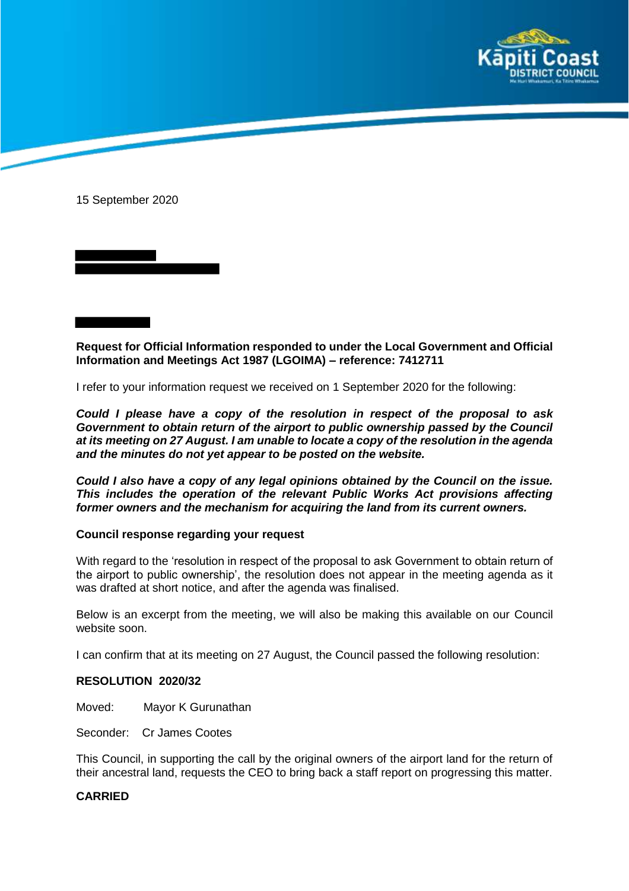

15 September 2020

**Request for Official Information responded to under the Local Government and Official Information and Meetings Act 1987 (LGOIMA) – reference: 7412711**

I refer to your information request we received on 1 September 2020 for the following:

*Could I please have a copy of the resolution in respect of the proposal to ask Government to obtain return of the airport to public ownership passed by the Council at its meeting on 27 August. I am unable to locate a copy of the resolution in the agenda and the minutes do not yet appear to be posted on the website.*

*Could I also have a copy of any legal opinions obtained by the Council on the issue. This includes the operation of the relevant Public Works Act provisions affecting former owners and the mechanism for acquiring the land from its current owners.*

## **Council response regarding your request**

With regard to the 'resolution in respect of the proposal to ask Government to obtain return of the airport to public ownership', the resolution does not appear in the meeting agenda as it was drafted at short notice, and after the agenda was finalised.

Below is an excerpt from the meeting, we will also be making this available on our Council website soon.

I can confirm that at its meeting on 27 August, the Council passed the following resolution:

## **RESOLUTION 2020/32**

Moved: Mayor K Gurunathan

Seconder: Cr James Cootes

This Council, in supporting the call by the original owners of the airport land for the return of their ancestral land, requests the CEO to bring back a staff report on progressing this matter.

## **CARRIED**